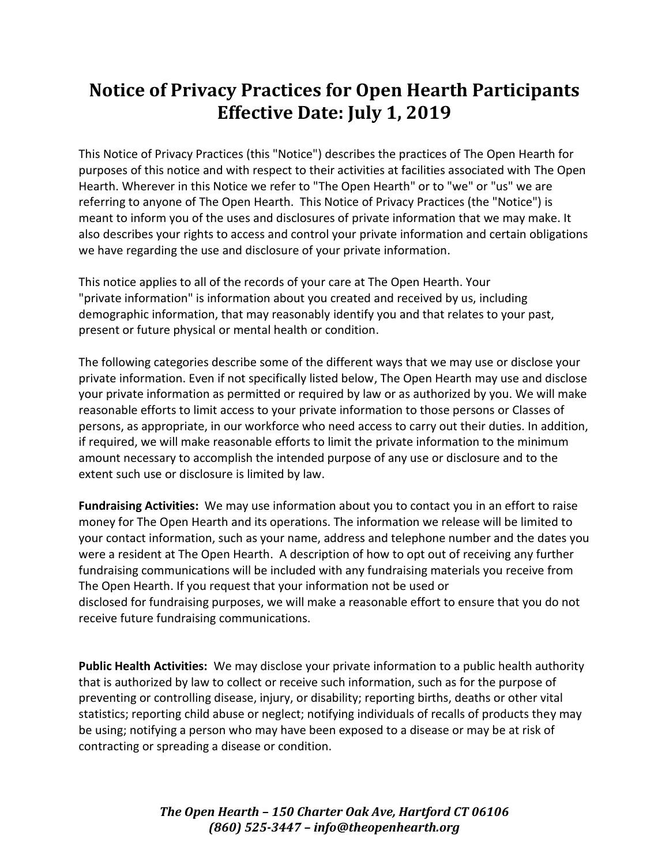## **Notice of Privacy Practices for Open Hearth Participants Effective Date: July 1, 2019**

This Notice of Privacy Practices (this "Notice") describes the practices of The Open Hearth for purposes of this notice and with respect to their activities at facilities associated with The Open Hearth. Wherever in this Notice we refer to "The Open Hearth" or to "we" or "us" we are referring to anyone of The Open Hearth. This Notice of Privacy Practices (the "Notice") is meant to inform you of the uses and disclosures of private information that we may make. It also describes your rights to access and control your private information and certain obligations we have regarding the use and disclosure of your private information.

This notice applies to all of the records of your care at The Open Hearth. Your "private information" is information about you created and received by us, including demographic information, that may reasonably identify you and that relates to your past, present or future physical or mental health or condition.

The following categories describe some of the different ways that we may use or disclose your private information. Even if not specifically listed below, The Open Hearth may use and disclose your private information as permitted or required by law or as authorized by you. We will make reasonable efforts to limit access to your private information to those persons or Classes of persons, as appropriate, in our workforce who need access to carry out their duties. In addition, if required, we will make reasonable efforts to limit the private information to the minimum amount necessary to accomplish the intended purpose of any use or disclosure and to the extent such use or disclosure is limited by law.

**Fundraising Activities:** We may use information about you to contact you in an effort to raise money for The Open Hearth and its operations. The information we release will be limited to your contact information, such as your name, address and telephone number and the dates you were a resident at The Open Hearth. A description of how to opt out of receiving any further fundraising communications will be included with any fundraising materials you receive from The Open Hearth. If you request that your information not be used or disclosed for fundraising purposes, we will make a reasonable effort to ensure that you do not receive future fundraising communications.

**Public Health Activities:** We may disclose your private information to a public health authority that is authorized by law to collect or receive such information, such as for the purpose of preventing or controlling disease, injury, or disability; reporting births, deaths or other vital statistics; reporting child abuse or neglect; notifying individuals of recalls of products they may be using; notifying a person who may have been exposed to a disease or may be at risk of contracting or spreading a disease or condition.

> *The Open Hearth – 150 Charter Oak Ave, Hartford CT 06106 (860) 525-3447 – info@theopenhearth.org*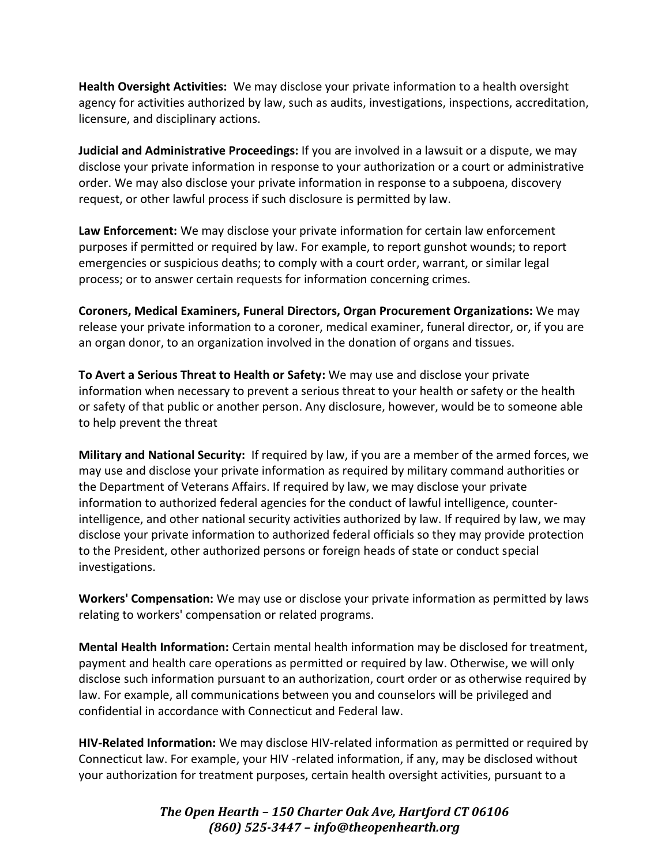**Health Oversight Activities:** We may disclose your private information to a health oversight agency for activities authorized by law, such as audits, investigations, inspections, accreditation, licensure, and disciplinary actions.

**Judicial and Administrative Proceedings:** If you are involved in a lawsuit or a dispute, we may disclose your private information in response to your authorization or a court or administrative order. We may also disclose your private information in response to a subpoena, discovery request, or other lawful process if such disclosure is permitted by law.

**Law Enforcement:** We may disclose your private information for certain law enforcement purposes if permitted or required by law. For example, to report gunshot wounds; to report emergencies or suspicious deaths; to comply with a court order, warrant, or similar legal process; or to answer certain requests for information concerning crimes.

**Coroners, Medical Examiners, Funeral Directors, Organ Procurement Organizations:** We may release your private information to a coroner, medical examiner, funeral director, or, if you are an organ donor, to an organization involved in the donation of organs and tissues.

**To Avert a Serious Threat to Health or Safety:** We may use and disclose your private information when necessary to prevent a serious threat to your health or safety or the health or safety of that public or another person. Any disclosure, however, would be to someone able to help prevent the threat

**Military and National Security:** If required by law, if you are a member of the armed forces, we may use and disclose your private information as required by military command authorities or the Department of Veterans Affairs. If required by law, we may disclose your private information to authorized federal agencies for the conduct of lawful intelligence, counterintelligence, and other national security activities authorized by law. If required by law, we may disclose your private information to authorized federal officials so they may provide protection to the President, other authorized persons or foreign heads of state or conduct special investigations.

**Workers' Compensation:** We may use or disclose your private information as permitted by laws relating to workers' compensation or related programs.

**Mental Health Information:** Certain mental health information may be disclosed for treatment, payment and health care operations as permitted or required by law. Otherwise, we will only disclose such information pursuant to an authorization, court order or as otherwise required by law. For example, all communications between you and counselors will be privileged and confidential in accordance with Connecticut and Federal law.

**HIV-Related Information:** We may disclose HIV-related information as permitted or required by Connecticut law. For example, your HIV -related information, if any, may be disclosed without your authorization for treatment purposes, certain health oversight activities, pursuant to a

> *The Open Hearth – 150 Charter Oak Ave, Hartford CT 06106 (860) 525-3447 – info@theopenhearth.org*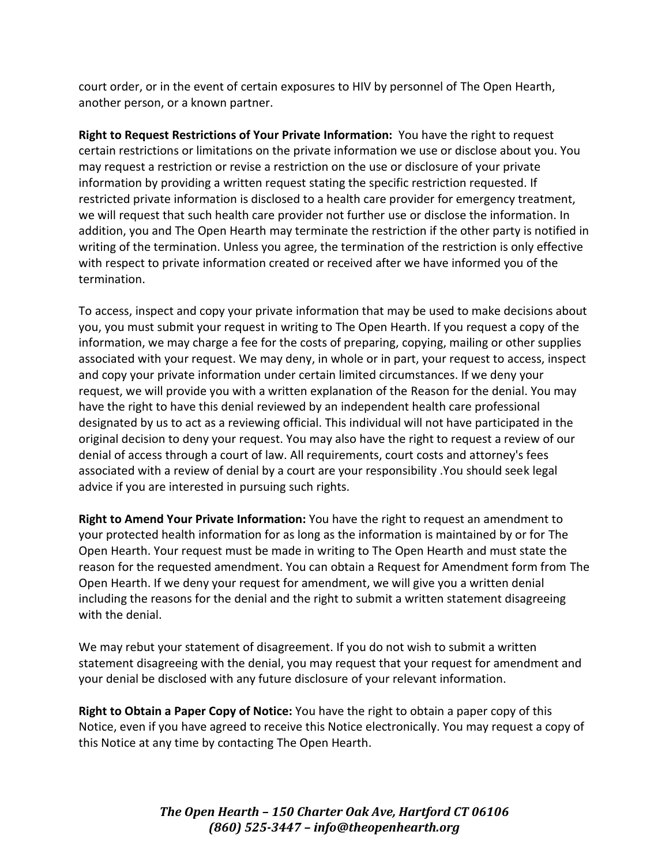court order, or in the event of certain exposures to HIV by personnel of The Open Hearth, another person, or a known partner.

**Right to Request Restrictions of Your Private Information:** You have the right to request certain restrictions or limitations on the private information we use or disclose about you. You may request a restriction or revise a restriction on the use or disclosure of your private information by providing a written request stating the specific restriction requested. If restricted private information is disclosed to a health care provider for emergency treatment, we will request that such health care provider not further use or disclose the information. In addition, you and The Open Hearth may terminate the restriction if the other party is notified in writing of the termination. Unless you agree, the termination of the restriction is only effective with respect to private information created or received after we have informed you of the termination.

To access, inspect and copy your private information that may be used to make decisions about you, you must submit your request in writing to The Open Hearth. If you request a copy of the information, we may charge a fee for the costs of preparing, copying, mailing or other supplies associated with your request. We may deny, in whole or in part, your request to access, inspect and copy your private information under certain limited circumstances. If we deny your request, we will provide you with a written explanation of the Reason for the denial. You may have the right to have this denial reviewed by an independent health care professional designated by us to act as a reviewing official. This individual will not have participated in the original decision to deny your request. You may also have the right to request a review of our denial of access through a court of law. All requirements, court costs and attorney's fees associated with a review of denial by a court are your responsibility .You should seek legal advice if you are interested in pursuing such rights.

**Right to Amend Your Private Information:** You have the right to request an amendment to your protected health information for as long as the information is maintained by or for The Open Hearth. Your request must be made in writing to The Open Hearth and must state the reason for the requested amendment. You can obtain a Request for Amendment form from The Open Hearth. If we deny your request for amendment, we will give you a written denial including the reasons for the denial and the right to submit a written statement disagreeing with the denial.

We may rebut your statement of disagreement. If you do not wish to submit a written statement disagreeing with the denial, you may request that your request for amendment and your denial be disclosed with any future disclosure of your relevant information.

**Right to Obtain a Paper Copy of Notice:** You have the right to obtain a paper copy of this Notice, even if you have agreed to receive this Notice electronically. You may request a copy of this Notice at any time by contacting The Open Hearth.

> *The Open Hearth – 150 Charter Oak Ave, Hartford CT 06106 (860) 525-3447 – info@theopenhearth.org*